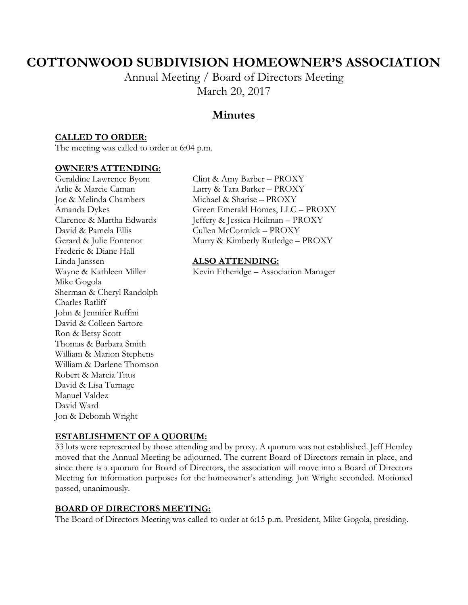# **COTTONWOOD SUBDIVISION HOMEOWNER'S ASSOCIATION**

Annual Meeting / Board of Directors Meeting March 20, 2017

## **Minutes**

### **CALLED TO ORDER:**

The meeting was called to order at 6:04 p.m.

#### **OWNER'S ATTENDING:**

Joe & Melinda Chambers Michael & Sharise – PROXY David & Pamela Ellis Cullen McCormick – PROXY Frederic & Diane Hall Linda Janssen **ALSO ATTENDING:**  Mike Gogola Sherman & Cheryl Randolph Charles Ratliff John & Jennifer Ruffini David & Colleen Sartore Ron & Betsy Scott Thomas & Barbara Smith William & Marion Stephens William & Darlene Thomson Robert & Marcia Titus David & Lisa Turnage Manuel Valdez David Ward Jon & Deborah Wright

Geraldine Lawrence Byom Clint & Amy Barber – PROXY Arlie & Marcie Caman Larry & Tara Barker – PROXY Amanda Dykes Green Emerald Homes, LLC – PROXY Clarence & Martha Edwards Jeffery & Jessica Heilman – PROXY Gerard & Julie Fontenot Murry & Kimberly Rutledge – PROXY

Wayne & Kathleen Miller Kevin Etheridge – Association Manager

#### **ESTABLISHMENT OF A QUORUM:**

33 lots were represented by those attending and by proxy. A quorum was not established. Jeff Hemley moved that the Annual Meeting be adjourned. The current Board of Directors remain in place, and since there is a quorum for Board of Directors, the association will move into a Board of Directors Meeting for information purposes for the homeowner's attending. Jon Wright seconded. Motioned passed, unanimously.

#### **BOARD OF DIRECTORS MEETING:**

The Board of Directors Meeting was called to order at 6:15 p.m. President, Mike Gogola, presiding.